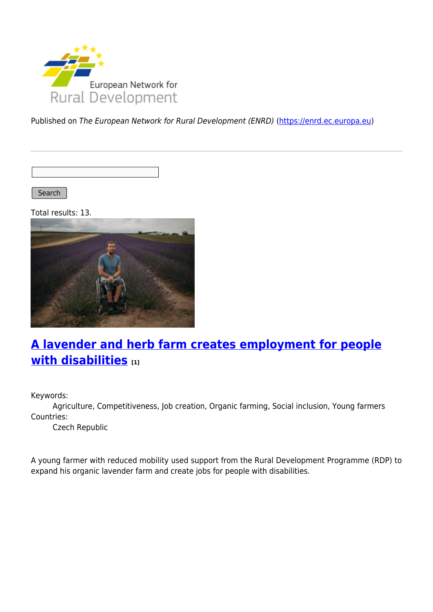

Published on The European Network for Rural Development (ENRD) [\(https://enrd.ec.europa.eu](https://enrd.ec.europa.eu))

Search |

Total results: 13.



# **[A lavender and herb farm creates employment for people](https://enrd.ec.europa.eu/projects-practice/lavender-and-herb-farm-creates-employment-people-disabilities_en) [with disabilities](https://enrd.ec.europa.eu/projects-practice/lavender-and-herb-farm-creates-employment-people-disabilities_en) [1]**

Keywords:

Agriculture, Competitiveness, Job creation, Organic farming, Social inclusion, Young farmers Countries:

Czech Republic

A young farmer with reduced mobility used support from the Rural Development Programme (RDP) to expand his organic lavender farm and create jobs for people with disabilities.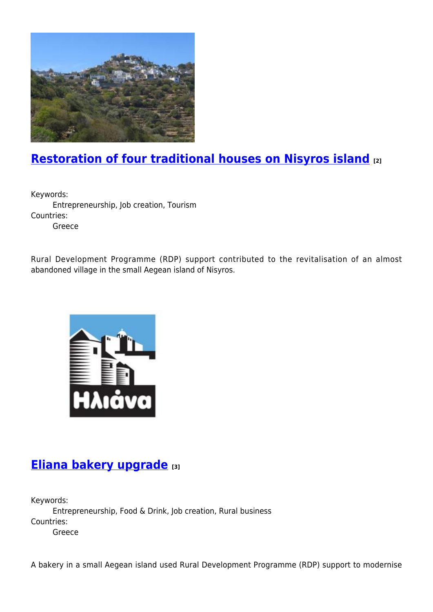

## **[Restoration of four traditional houses on Nisyros island](https://enrd.ec.europa.eu/projects-practice/restoration-four-traditional-houses-nisyros-island_en) [2]**

Keywords: Entrepreneurship, Job creation, Tourism Countries: Greece

Rural Development Programme (RDP) support contributed to the revitalisation of an almost abandoned village in the small Aegean island of Nisyros.



#### **[Eliana bakery upgrade](https://enrd.ec.europa.eu/projects-practice/eliana-bakery-upgrade_en) [3]**

Keywords: Entrepreneurship, Food & Drink, Job creation, Rural business Countries: Greece

A bakery in a small Aegean island used Rural Development Programme (RDP) support to modernise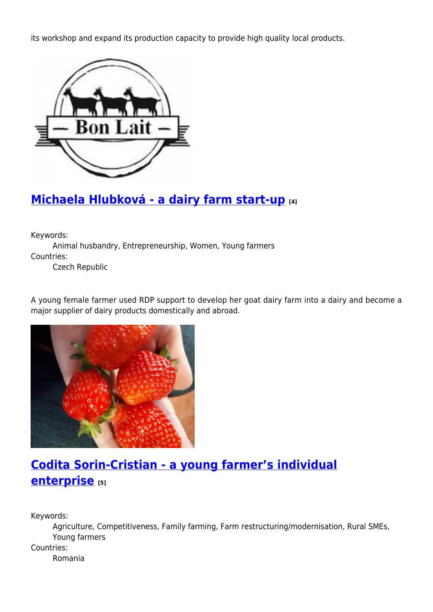its workshop and expand its production capacity to provide high quality local products.



## **[Michaela Hlubková - a dairy farm start-up](https://enrd.ec.europa.eu/projects-practice/michaela-hlubkova-dairy-farm-start_en) [4]**

Keywords: Animal husbandry, Entrepreneurship, Women, Young farmers Countries:

Czech Republic

A young female farmer used RDP support to develop her goat dairy farm into a dairy and become a major supplier of dairy products domestically and abroad.



## **[Codita Sorin-Cristian - a young farmer's individual](https://enrd.ec.europa.eu/projects-practice/codita-sorin-cristian-young-farmers-individual-enterprise_en) [enterprise](https://enrd.ec.europa.eu/projects-practice/codita-sorin-cristian-young-farmers-individual-enterprise_en) [5]**

Keywords:

Agriculture, Competitiveness, Family farming, Farm restructuring/modernisation, Rural SMEs, Young farmers

Countries:

Romania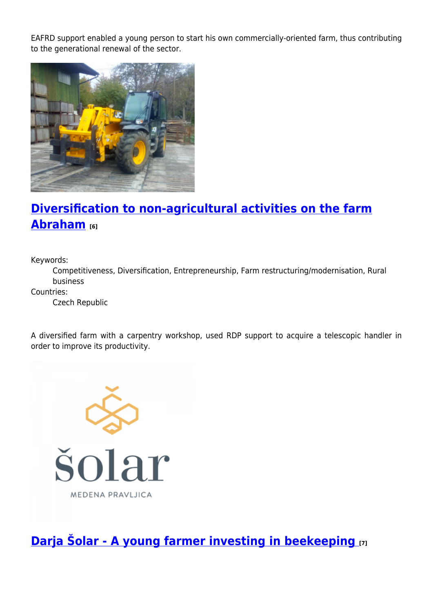EAFRD support enabled a young person to start his own commercially-oriented farm, thus contributing to the generational renewal of the sector.



## **[Diversification to non-agricultural activities on the farm](https://enrd.ec.europa.eu/projects-practice/diversification-non-agricultural-activities-farm-abraham_en) [Abraham](https://enrd.ec.europa.eu/projects-practice/diversification-non-agricultural-activities-farm-abraham_en) [6]**

Keywords:

Competitiveness, Diversification, Entrepreneurship, Farm restructuring/modernisation, Rural business

Countries:

Czech Republic

A diversified farm with a carpentry workshop, used RDP support to acquire a telescopic handler in order to improve its productivity.



**[Darja Šolar - A young farmer investing in beekeeping](https://enrd.ec.europa.eu/projects-practice/darja-solar-young-farmer-investing-beekeeping_en) [7]**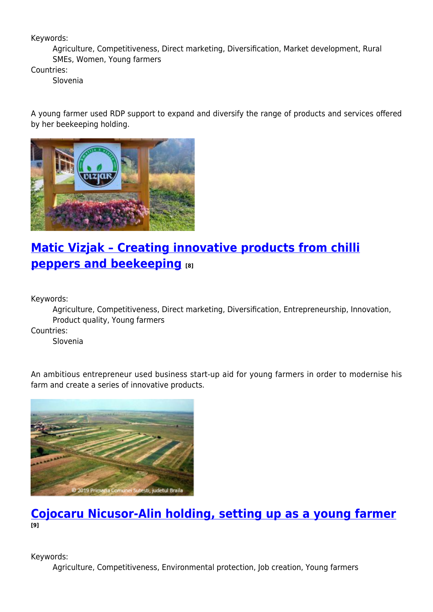Keywords:

Agriculture, Competitiveness, Direct marketing, Diversification, Market development, Rural SMEs, Women, Young farmers

Countries:

Slovenia

A young farmer used RDP support to expand and diversify the range of products and services offered by her beekeeping holding.



# **[Matic Vizjak – Creating innovative products from chilli](https://enrd.ec.europa.eu/projects-practice/matic-vizjak-creating-innovative-products-chilli-peppers-and-beekeeping_en) [peppers and beekeeping](https://enrd.ec.europa.eu/projects-practice/matic-vizjak-creating-innovative-products-chilli-peppers-and-beekeeping_en)** [8]

Keywords:

Agriculture, Competitiveness, Direct marketing, Diversification, Entrepreneurship, Innovation, Product quality, Young farmers

Countries:

Slovenia

An ambitious entrepreneur used business start-up aid for young farmers in order to modernise his farm and create a series of innovative products.



#### **[Cojocaru Nicusor-Alin holding, setting up as a young farmer](https://enrd.ec.europa.eu/projects-practice/cojocaru-nicusor-alin-holding-setting-young-farmer_en) [9]**

Keywords:

Agriculture, Competitiveness, Environmental protection, Job creation, Young farmers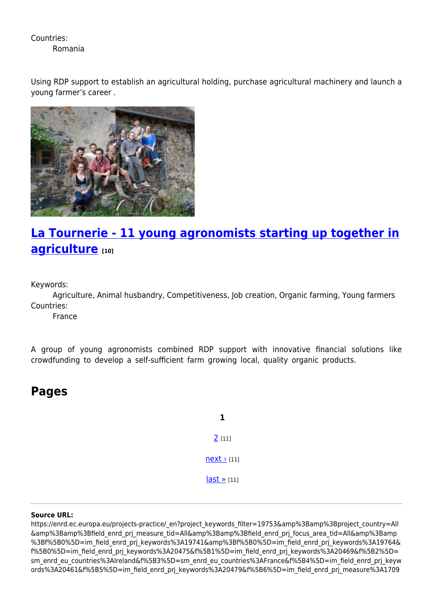Countries: Romania

Using RDP support to establish an agricultural holding, purchase agricultural machinery and launch a young farmer's career .



#### **[La Tournerie - 11 young agronomists starting up together in](https://enrd.ec.europa.eu/projects-practice/la-tournerie-11-young-agronomists-starting-together-agriculture_en) [agriculture](https://enrd.ec.europa.eu/projects-practice/la-tournerie-11-young-agronomists-starting-together-agriculture_en) [10]**

Keywords:

Agriculture, Animal husbandry, Competitiveness, Job creation, Organic farming, Young farmers Countries:

France

A group of young agronomists combined RDP support with innovative financial solutions like crowdfunding to develop a self-sufficient farm growing local, quality organic products.

#### **Pages**

**1** [2](https://enrd.ec.europa.eu/projects-practice/_en?page=1&project_keywords_filter=19753&%3Bamp%3Bproject_country=All&%3Bamp%3Bfield_enrd_prj_measure_tid=All&%3Bamp%3Bfield_enrd_prj_focus_area_tid=All&%3Bamp%3Bf%5B0%5D=im_field_enrd_prj_keywords%3A19741&%3Bf%5B0%5D=im_field_enrd_prj_keywords%3A19764&f%5B0%5D=im_field_enrd_prj_keywords%3A20475&f%5B1%5D=im_field_enrd_prj_keywords%3A20469&f%5B2%5D=sm_enrd_eu_countries%3AIreland&f%5B3%5D=sm_enrd_eu_countries%3AFrance&f%5B4%5D=im_field_enrd_prj_keywords%3A20461&f%5B5%5D=im_field_enrd_prj_keywords%3A20479&f%5B6%5D=im_field_enrd_prj_measure%3A17097&f%5B7%5D=im_field_enrd_prj_keywords%3A19739&f%5B8%5D=im_field_enrd_prj_focus_area%3A17127&f%5B9%5D=im_field_enrd_prj_keywords%3A20476&f%5B10%5D=im_field_enrd_prj_keywords%3A20466&f%5B11%5D=sm_enrd_eu_countries%3AEstonia&f%5B12%5D=sm_enrd_eu_countries%3ACzech%20Republic&f%5B13%5D=sm_enrd_eu_countries%3AGreece&f%5B14%5D=im_field_enrd_prj_keywords%3A19743&f%5B15%5D=sm_enrd_eu_countries%3ARomania&f%5B16%5D=im_field_enrd_prj_keywords%3A19729&f%5B17%5D=im_field_enrd_prj_focus_area%3A17116&f%5B18%5D=sm_enrd_eu_countries%3ASlovenia) [11]  $next$  [11] [last »](https://enrd.ec.europa.eu/projects-practice/_en?page=1&project_keywords_filter=19753&%3Bamp%3Bproject_country=All&%3Bamp%3Bfield_enrd_prj_measure_tid=All&%3Bamp%3Bfield_enrd_prj_focus_area_tid=All&%3Bamp%3Bf%5B0%5D=im_field_enrd_prj_keywords%3A19741&%3Bf%5B0%5D=im_field_enrd_prj_keywords%3A19764&f%5B0%5D=im_field_enrd_prj_keywords%3A20475&f%5B1%5D=im_field_enrd_prj_keywords%3A20469&f%5B2%5D=sm_enrd_eu_countries%3AIreland&f%5B3%5D=sm_enrd_eu_countries%3AFrance&f%5B4%5D=im_field_enrd_prj_keywords%3A20461&f%5B5%5D=im_field_enrd_prj_keywords%3A20479&f%5B6%5D=im_field_enrd_prj_measure%3A17097&f%5B7%5D=im_field_enrd_prj_keywords%3A19739&f%5B8%5D=im_field_enrd_prj_focus_area%3A17127&f%5B9%5D=im_field_enrd_prj_keywords%3A20476&f%5B10%5D=im_field_enrd_prj_keywords%3A20466&f%5B11%5D=sm_enrd_eu_countries%3AEstonia&f%5B12%5D=sm_enrd_eu_countries%3ACzech%20Republic&f%5B13%5D=sm_enrd_eu_countries%3AGreece&f%5B14%5D=im_field_enrd_prj_keywords%3A19743&f%5B15%5D=sm_enrd_eu_countries%3ARomania&f%5B16%5D=im_field_enrd_prj_keywords%3A19729&f%5B17%5D=im_field_enrd_prj_focus_area%3A17116&f%5B18%5D=sm_enrd_eu_countries%3ASlovenia) [11]

#### **Source URL:**

https://enrd.ec.europa.eu/projects-practice/\_en?project\_keywords\_filter=19753&amp%3Bamp%3Bproject\_country=All &amp%3Bamp%3Bfield\_enrd\_prj\_measure\_tid=All&amp%3Bamp%3Bfield\_enrd\_prj\_focus\_area\_tid=All&amp%3Bamp %3Bf%5B0%5D=im\_field\_enrd\_prj\_keywords%3A19741&amp%3Bf%5B0%5D=im\_field\_enrd\_prj\_keywords%3A19764& f%5B0%5D=im\_field\_enrd\_prj\_keywords%3A20475&f%5B1%5D=im\_field\_enrd\_prj\_keywords%3A20469&f%5B2%5D= sm\_enrd\_eu\_countries%3AIreland&f%5B3%5D=sm\_enrd\_eu\_countries%3AFrance&f%5B4%5D=im\_field\_enrd\_prj\_keyw ords%3A20461&f%5B5%5D=im\_field\_enrd\_prj\_keywords%3A20479&f%5B6%5D=im\_field\_enrd\_prj\_measure%3A1709